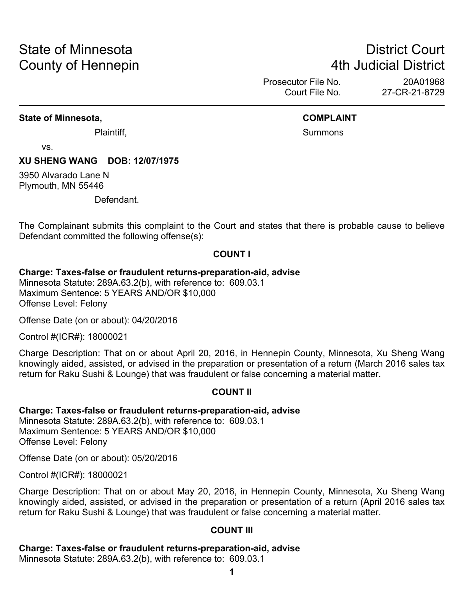# State of Minnesota **District Court County of Hennepin 1988** County of Hennepin **1988** County of Hennepin **1988**

Prosecutor File No. 20A01968 Court File No. 27-CR-21-8729

#### **State of Minnesota, COMPLAINT**

Plaintiff, **Summons Plaintiff**,

vs.

#### **XU SHENG WANG DOB: 12/07/1975**

3950 Alvarado Lane N Plymouth, MN 55446

Defendant.

The Complainant submits this complaint to the Court and states that there is probable cause to believe Defendant committed the following offense(s):

#### **COUNT I**

#### **Charge: Taxes-false or fraudulent returns-preparation-aid, advise**

Minnesota Statute: 289A.63.2(b), with reference to: 609.03.1 Maximum Sentence: 5 YEARS AND/OR \$10,000 Offense Level: Felony

Offense Date (on or about): 04/20/2016

Control #(ICR#): 18000021

Charge Description: That on or about April 20, 2016, in Hennepin County, Minnesota, Xu Sheng Wang knowingly aided, assisted, or advised in the preparation or presentation of a return (March 2016 sales tax return for Raku Sushi & Lounge) that was fraudulent or false concerning a material matter.

#### **COUNT II**

#### **Charge: Taxes-false or fraudulent returns-preparation-aid, advise**

Minnesota Statute: 289A.63.2(b), with reference to: 609.03.1 Maximum Sentence: 5 YEARS AND/OR \$10,000 Offense Level: Felony

Offense Date (on or about): 05/20/2016

Control #(ICR#): 18000021

Charge Description: That on or about May 20, 2016, in Hennepin County, Minnesota, Xu Sheng Wang knowingly aided, assisted, or advised in the preparation or presentation of a return (April 2016 sales tax return for Raku Sushi & Lounge) that was fraudulent or false concerning a material matter.

#### **COUNT III**

**Charge: Taxes-false or fraudulent returns-preparation-aid, advise**

Minnesota Statute: 289A.63.2(b), with reference to: 609.03.1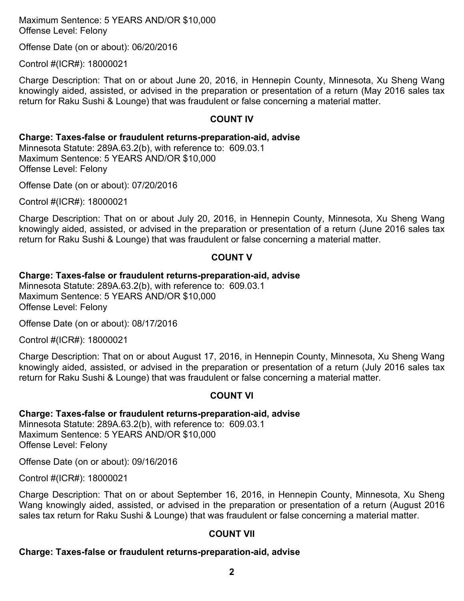Maximum Sentence: 5 YEARS AND/OR \$10,000 Offense Level: Felony

Offense Date (on or about): 06/20/2016

Control #(ICR#): 18000021

Charge Description: That on or about June 20, 2016, in Hennepin County, Minnesota, Xu Sheng Wang knowingly aided, assisted, or advised in the preparation or presentation of a return (May 2016 sales tax return for Raku Sushi & Lounge) that was fraudulent or false concerning a material matter.

#### **COUNT IV**

**Charge: Taxes-false or fraudulent returns-preparation-aid, advise**

Minnesota Statute: 289A.63.2(b), with reference to: 609.03.1 Maximum Sentence: 5 YEARS AND/OR \$10,000 Offense Level: Felony

Offense Date (on or about): 07/20/2016

Control #(ICR#): 18000021

Charge Description: That on or about July 20, 2016, in Hennepin County, Minnesota, Xu Sheng Wang knowingly aided, assisted, or advised in the preparation or presentation of a return (June 2016 sales tax return for Raku Sushi & Lounge) that was fraudulent or false concerning a material matter.

#### **COUNT V**

#### **Charge: Taxes-false or fraudulent returns-preparation-aid, advise**

Minnesota Statute: 289A.63.2(b), with reference to: 609.03.1 Maximum Sentence: 5 YEARS AND/OR \$10,000 Offense Level: Felony

Offense Date (on or about): 08/17/2016

Control #(ICR#): 18000021

Charge Description: That on or about August 17, 2016, in Hennepin County, Minnesota, Xu Sheng Wang knowingly aided, assisted, or advised in the preparation or presentation of a return (July 2016 sales tax return for Raku Sushi & Lounge) that was fraudulent or false concerning a material matter.

#### **COUNT VI**

#### **Charge: Taxes-false or fraudulent returns-preparation-aid, advise**

Minnesota Statute: 289A.63.2(b), with reference to: 609.03.1 Maximum Sentence: 5 YEARS AND/OR \$10,000 Offense Level: Felony

Offense Date (on or about): 09/16/2016

Control #(ICR#): 18000021

Charge Description: That on or about September 16, 2016, in Hennepin County, Minnesota, Xu Sheng Wang knowingly aided, assisted, or advised in the preparation or presentation of a return (August 2016 sales tax return for Raku Sushi & Lounge) that was fraudulent or false concerning a material matter.

#### **COUNT VII**

#### **Charge: Taxes-false or fraudulent returns-preparation-aid, advise**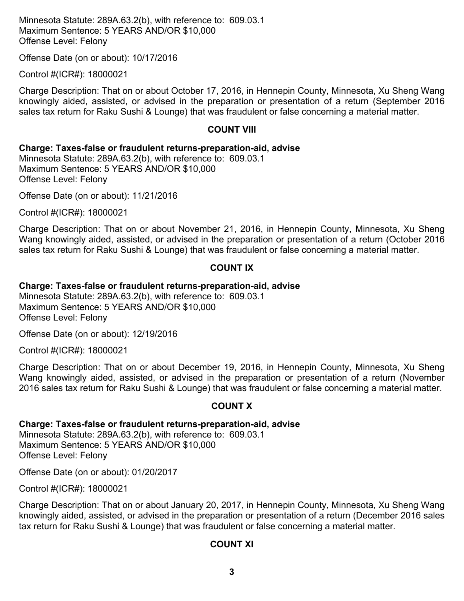Minnesota Statute: 289A.63.2(b), with reference to: 609.03.1 Maximum Sentence: 5 YEARS AND/OR \$10,000 Offense Level: Felony

Offense Date (on or about): 10/17/2016

Control #(ICR#): 18000021

Charge Description: That on or about October 17, 2016, in Hennepin County, Minnesota, Xu Sheng Wang knowingly aided, assisted, or advised in the preparation or presentation of a return (September 2016 sales tax return for Raku Sushi & Lounge) that was fraudulent or false concerning a material matter.

#### **COUNT VIII**

#### **Charge: Taxes-false or fraudulent returns-preparation-aid, advise**

Minnesota Statute: 289A.63.2(b), with reference to: 609.03.1 Maximum Sentence: 5 YEARS AND/OR \$10,000 Offense Level: Felony

Offense Date (on or about): 11/21/2016

Control #(ICR#): 18000021

Charge Description: That on or about November 21, 2016, in Hennepin County, Minnesota, Xu Sheng Wang knowingly aided, assisted, or advised in the preparation or presentation of a return (October 2016 sales tax return for Raku Sushi & Lounge) that was fraudulent or false concerning a material matter.

#### **COUNT IX**

#### **Charge: Taxes-false or fraudulent returns-preparation-aid, advise**

Minnesota Statute: 289A.63.2(b), with reference to: 609.03.1 Maximum Sentence: 5 YEARS AND/OR \$10,000 Offense Level: Felony

Offense Date (on or about): 12/19/2016

Control #(ICR#): 18000021

Charge Description: That on or about December 19, 2016, in Hennepin County, Minnesota, Xu Sheng Wang knowingly aided, assisted, or advised in the preparation or presentation of a return (November 2016 sales tax return for Raku Sushi & Lounge) that was fraudulent or false concerning a material matter.

#### **COUNT X**

#### **Charge: Taxes-false or fraudulent returns-preparation-aid, advise**

Minnesota Statute: 289A.63.2(b), with reference to: 609.03.1 Maximum Sentence: 5 YEARS AND/OR \$10,000 Offense Level: Felony

Offense Date (on or about): 01/20/2017

Control #(ICR#): 18000021

Charge Description: That on or about January 20, 2017, in Hennepin County, Minnesota, Xu Sheng Wang knowingly aided, assisted, or advised in the preparation or presentation of a return (December 2016 sales tax return for Raku Sushi & Lounge) that was fraudulent or false concerning a material matter.

#### **COUNT XI**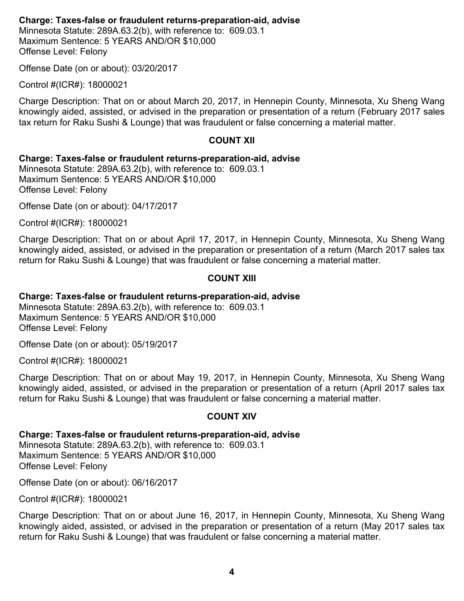#### **Charge: Taxes-false or fraudulent returns-preparation-aid, advise**

Minnesota Statute: 289A.63.2(b), with reference to: 609.03.1 Maximum Sentence: 5 YEARS AND/OR \$10,000 Offense Level: Felony

Offense Date (on or about): 03/20/2017

Control #(ICR#): 18000021

Charge Description: That on or about March 20, 2017, in Hennepin County, Minnesota, Xu Sheng Wang knowingly aided, assisted, or advised in the preparation or presentation of a return (February 2017 sales tax return for Raku Sushi & Lounge) that was fraudulent or false concerning a material matter.

#### **COUNT XII**

#### **Charge: Taxes-false or fraudulent returns-preparation-aid, advise**

Minnesota Statute: 289A.63.2(b), with reference to: 609.03.1 Maximum Sentence: 5 YEARS AND/OR \$10,000 Offense Level: Felony

Offense Date (on or about): 04/17/2017

Control #(ICR#): 18000021

Charge Description: That on or about April 17, 2017, in Hennepin County, Minnesota, Xu Sheng Wang knowingly aided, assisted, or advised in the preparation or presentation of a return (March 2017 sales tax return for Raku Sushi & Lounge) that was fraudulent or false concerning a material matter.

#### **COUNT XIII**

#### **Charge: Taxes-false or fraudulent returns-preparation-aid, advise**

Minnesota Statute: 289A.63.2(b), with reference to: 609.03.1 Maximum Sentence: 5 YEARS AND/OR \$10,000 Offense Level: Felony

Offense Date (on or about): 05/19/2017

Control #(ICR#): 18000021

Charge Description: That on or about May 19, 2017, in Hennepin County, Minnesota, Xu Sheng Wang knowingly aided, assisted, or advised in the preparation or presentation of a return (April 2017 sales tax return for Raku Sushi & Lounge) that was fraudulent or false concerning a material matter.

#### **COUNT XIV**

#### **Charge: Taxes-false or fraudulent returns-preparation-aid, advise**

Minnesota Statute: 289A.63.2(b), with reference to: 609.03.1 Maximum Sentence: 5 YEARS AND/OR \$10,000 Offense Level: Felony

Offense Date (on or about): 06/16/2017

Control #(ICR#): 18000021

Charge Description: That on or about June 16, 2017, in Hennepin County, Minnesota, Xu Sheng Wang knowingly aided, assisted, or advised in the preparation or presentation of a return (May 2017 sales tax return for Raku Sushi & Lounge) that was fraudulent or false concerning a material matter.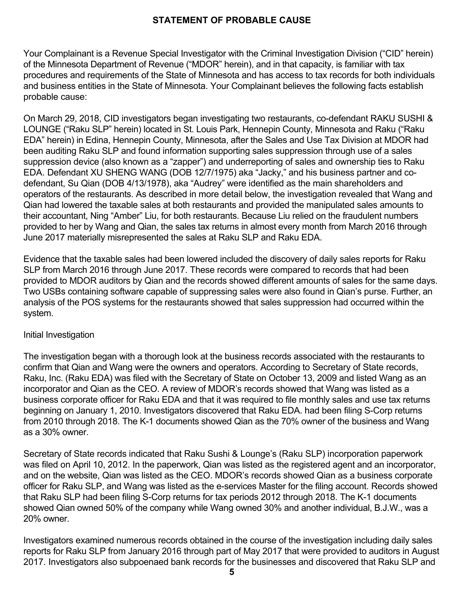### **STATEMENT OF PROBABLE CAUSE**

Your Complainant is a Revenue Special Investigator with the Criminal Investigation Division ("CID" herein) of the Minnesota Department of Revenue ("MDOR" herein), and in that capacity, is familiar with tax procedures and requirements of the State of Minnesota and has access to tax records for both individuals and business entities in the State of Minnesota. Your Complainant believes the following facts establish probable cause:

On March 29, 2018, CID investigators began investigating two restaurants, co-defendant RAKU SUSHI & LOUNGE ("Raku SLP" herein) located in St. Louis Park, Hennepin County, Minnesota and Raku ("Raku EDA" herein) in Edina, Hennepin County, Minnesota, after the Sales and Use Tax Division at MDOR had been auditing Raku SLP and found information supporting sales suppression through use of a sales suppression device (also known as a "zapper") and underreporting of sales and ownership ties to Raku EDA. Defendant XU SHENG WANG (DOB 12/7/1975) aka "Jacky," and his business partner and codefendant, Su Qian (DOB 4/13/1978), aka "Audrey" were identified as the main shareholders and operators of the restaurants. As described in more detail below, the investigation revealed that Wang and Qian had lowered the taxable sales at both restaurants and provided the manipulated sales amounts to their accountant, Ning "Amber" Liu, for both restaurants. Because Liu relied on the fraudulent numbers provided to her by Wang and Qian, the sales tax returns in almost every month from March 2016 through June 2017 materially misrepresented the sales at Raku SLP and Raku EDA.

Evidence that the taxable sales had been lowered included the discovery of daily sales reports for Raku SLP from March 2016 through June 2017. These records were compared to records that had been provided to MDOR auditors by Qian and the records showed different amounts of sales for the same days. Two USBs containing software capable of suppressing sales were also found in Qian's purse. Further, an analysis of the POS systems for the restaurants showed that sales suppression had occurred within the system.

### Initial Investigation

The investigation began with a thorough look at the business records associated with the restaurants to confirm that Qian and Wang were the owners and operators. According to Secretary of State records, Raku, Inc. (Raku EDA) was filed with the Secretary of State on October 13, 2009 and listed Wang as an incorporator and Qian as the CEO. A review of MDOR's records showed that Wang was listed as a business corporate officer for Raku EDA and that it was required to file monthly sales and use tax returns beginning on January 1, 2010. Investigators discovered that Raku EDA. had been filing S-Corp returns from 2010 through 2018. The K-1 documents showed Qian as the 70% owner of the business and Wang as a 30% owner.

Secretary of State records indicated that Raku Sushi & Lounge's (Raku SLP) incorporation paperwork was filed on April 10, 2012. In the paperwork, Qian was listed as the registered agent and an incorporator, and on the website, Qian was listed as the CEO. MDOR's records showed Qian as a business corporate officer for Raku SLP, and Wang was listed as the e-services Master for the filing account. Records showed that Raku SLP had been filing S-Corp returns for tax periods 2012 through 2018. The K-1 documents showed Qian owned 50% of the company while Wang owned 30% and another individual, B.J.W., was a 20% owner.

Investigators examined numerous records obtained in the course of the investigation including daily sales reports for Raku SLP from January 2016 through part of May 2017 that were provided to auditors in August 2017. Investigators also subpoenaed bank records for the businesses and discovered that Raku SLP and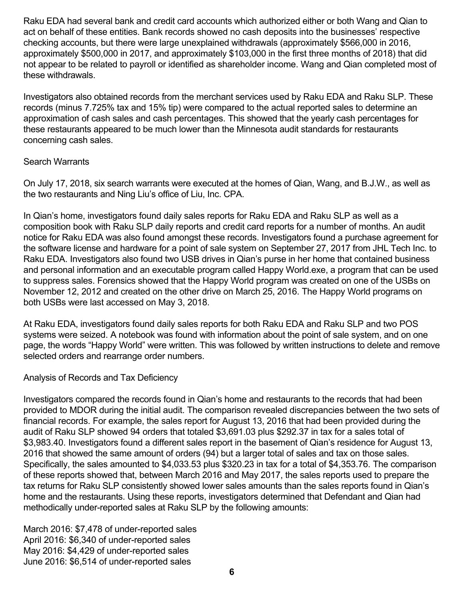Raku EDA had several bank and credit card accounts which authorized either or both Wang and Qian to act on behalf of these entities. Bank records showed no cash deposits into the businesses' respective checking accounts, but there were large unexplained withdrawals (approximately \$566,000 in 2016, approximately \$500,000 in 2017, and approximately \$103,000 in the first three months of 2018) that did not appear to be related to payroll or identified as shareholder income. Wang and Qian completed most of these withdrawals.

Investigators also obtained records from the merchant services used by Raku EDA and Raku SLP. These records (minus 7.725% tax and 15% tip) were compared to the actual reported sales to determine an approximation of cash sales and cash percentages. This showed that the yearly cash percentages for these restaurants appeared to be much lower than the Minnesota audit standards for restaurants concerning cash sales.

#### Search Warrants

On July 17, 2018, six search warrants were executed at the homes of Qian, Wang, and B.J.W., as well as the two restaurants and Ning Liu's office of Liu, Inc. CPA.

In Qian's home, investigators found daily sales reports for Raku EDA and Raku SLP as well as a composition book with Raku SLP daily reports and credit card reports for a number of months. An audit notice for Raku EDA was also found amongst these records. Investigators found a purchase agreement for the software license and hardware for a point of sale system on September 27, 2017 from JHL Tech Inc. to Raku EDA. Investigators also found two USB drives in Qian's purse in her home that contained business and personal information and an executable program called Happy World.exe, a program that can be used to suppress sales. Forensics showed that the Happy World program was created on one of the USBs on November 12, 2012 and created on the other drive on March 25, 2016. The Happy World programs on both USBs were last accessed on May 3, 2018.

At Raku EDA, investigators found daily sales reports for both Raku EDA and Raku SLP and two POS systems were seized. A notebook was found with information about the point of sale system, and on one page, the words "Happy World" were written. This was followed by written instructions to delete and remove selected orders and rearrange order numbers.

### Analysis of Records and Tax Deficiency

Investigators compared the records found in Qian's home and restaurants to the records that had been provided to MDOR during the initial audit. The comparison revealed discrepancies between the two sets of financial records. For example, the sales report for August 13, 2016 that had been provided during the audit of Raku SLP showed 94 orders that totaled \$3,691.03 plus \$292.37 in tax for a sales total of \$3,983.40. Investigators found a different sales report in the basement of Qian's residence for August 13, 2016 that showed the same amount of orders (94) but a larger total of sales and tax on those sales. Specifically, the sales amounted to \$4,033.53 plus \$320.23 in tax for a total of \$4,353.76. The comparison of these reports showed that, between March 2016 and May 2017, the sales reports used to prepare the tax returns for Raku SLP consistently showed lower sales amounts than the sales reports found in Qian's home and the restaurants. Using these reports, investigators determined that Defendant and Qian had methodically under-reported sales at Raku SLP by the following amounts:

March 2016: \$7,478 of under-reported sales April 2016: \$6,340 of under-reported sales May 2016: \$4,429 of under-reported sales June 2016: \$6,514 of under-reported sales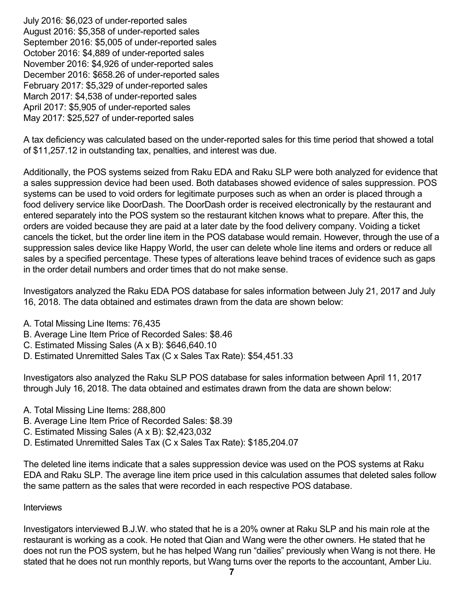July 2016: \$6,023 of under-reported sales August 2016: \$5,358 of under-reported sales September 2016: \$5,005 of under-reported sales October 2016: \$4,889 of under-reported sales November 2016: \$4,926 of under-reported sales December 2016: \$658.26 of under-reported sales February 2017: \$5,329 of under-reported sales March 2017: \$4,538 of under-reported sales April 2017: \$5,905 of under-reported sales May 2017: \$25,527 of under-reported sales

A tax deficiency was calculated based on the under-reported sales for this time period that showed a total of \$11,257.12 in outstanding tax, penalties, and interest was due.

Additionally, the POS systems seized from Raku EDA and Raku SLP were both analyzed for evidence that a sales suppression device had been used. Both databases showed evidence of sales suppression. POS systems can be used to void orders for legitimate purposes such as when an order is placed through a food delivery service like DoorDash. The DoorDash order is received electronically by the restaurant and entered separately into the POS system so the restaurant kitchen knows what to prepare. After this, the orders are voided because they are paid at a later date by the food delivery company. Voiding a ticket cancels the ticket, but the order line item in the POS database would remain. However, through the use of a suppression sales device like Happy World, the user can delete whole line items and orders or reduce all sales by a specified percentage. These types of alterations leave behind traces of evidence such as gaps in the order detail numbers and order times that do not make sense.

Investigators analyzed the Raku EDA POS database for sales information between July 21, 2017 and July 16, 2018. The data obtained and estimates drawn from the data are shown below:

- A. Total Missing Line Items: 76,435
- B. Average Line Item Price of Recorded Sales: \$8.46
- C. Estimated Missing Sales (A x B): \$646,640.10
- D. Estimated Unremitted Sales Tax (C x Sales Tax Rate): \$54,451.33

Investigators also analyzed the Raku SLP POS database for sales information between April 11, 2017 through July 16, 2018. The data obtained and estimates drawn from the data are shown below:

- A. Total Missing Line Items: 288,800
- B. Average Line Item Price of Recorded Sales: \$8.39
- C. Estimated Missing Sales (A x B): \$2,423,032
- D. Estimated Unremitted Sales Tax (C x Sales Tax Rate): \$185,204.07

The deleted line items indicate that a sales suppression device was used on the POS systems at Raku EDA and Raku SLP. The average line item price used in this calculation assumes that deleted sales follow the same pattern as the sales that were recorded in each respective POS database.

#### **Interviews**

Investigators interviewed B.J.W. who stated that he is a 20% owner at Raku SLP and his main role at the restaurant is working as a cook. He noted that Qian and Wang were the other owners. He stated that he does not run the POS system, but he has helped Wang run "dailies" previously when Wang is not there. He stated that he does not run monthly reports, but Wang turns over the reports to the accountant, Amber Liu.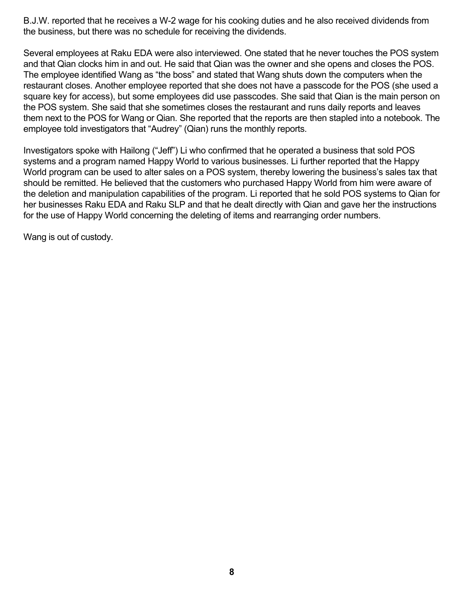B.J.W. reported that he receives a W-2 wage for his cooking duties and he also received dividends from the business, but there was no schedule for receiving the dividends.

Several employees at Raku EDA were also interviewed. One stated that he never touches the POS system and that Qian clocks him in and out. He said that Qian was the owner and she opens and closes the POS. The employee identified Wang as "the boss" and stated that Wang shuts down the computers when the restaurant closes. Another employee reported that she does not have a passcode for the POS (she used a square key for access), but some employees did use passcodes. She said that Qian is the main person on the POS system. She said that she sometimes closes the restaurant and runs daily reports and leaves them next to the POS for Wang or Qian. She reported that the reports are then stapled into a notebook. The employee told investigators that "Audrey" (Qian) runs the monthly reports.

Investigators spoke with Hailong ("Jeff") Li who confirmed that he operated a business that sold POS systems and a program named Happy World to various businesses. Li further reported that the Happy World program can be used to alter sales on a POS system, thereby lowering the business's sales tax that should be remitted. He believed that the customers who purchased Happy World from him were aware of the deletion and manipulation capabilities of the program. Li reported that he sold POS systems to Qian for her businesses Raku EDA and Raku SLP and that he dealt directly with Qian and gave her the instructions for the use of Happy World concerning the deleting of items and rearranging order numbers.

Wang is out of custody.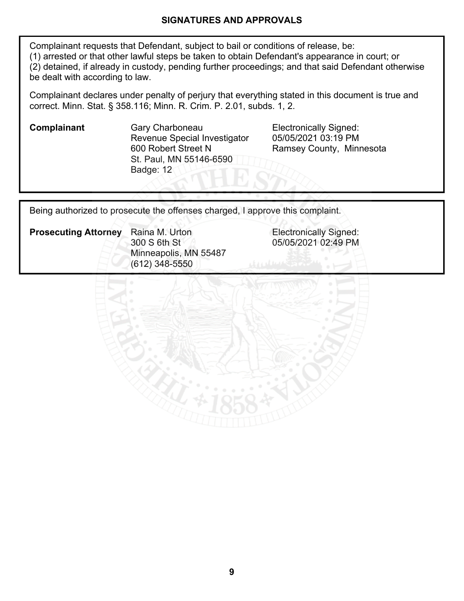#### **SIGNATURES AND APPROVALS**

Complainant requests that Defendant, subject to bail or conditions of release, be: (1) arrested or that other lawful steps be taken to obtain Defendant's appearance in court; or (2) detained, if already in custody, pending further proceedings; and that said Defendant otherwise be dealt with according to law.

Complainant declares under penalty of perjury that everything stated in this document is true and correct. Minn. Stat. § 358.116; Minn. R. Crim. P. 2.01, subds. 1, 2.

**Complainant** Gary Charboneau **Electronically Signed:** Revenue Special Investigator 600 Robert Street N St. Paul, MN 55146-6590 Badge: 12

05/05/2021 03:19 PM Ramsey County, Minnesota

05/05/2021 02:49 PM

Being authorized to prosecute the offenses charged, I approve this complaint.

**Prosecuting Attorney** Raina M. Urton **Electronically Signed:** Raina M. Urton 300 S 6th St Minneapolis, MN 55487 (612) 348-5550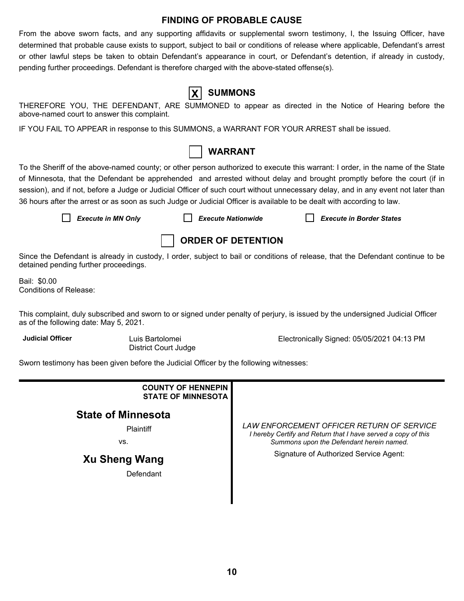#### **FINDING OF PROBABLE CAUSE**

From the above sworn facts, and any supporting affidavits or supplemental sworn testimony, I, the Issuing Officer, have determined that probable cause exists to support, subject to bail or conditions of release where applicable, Defendant's arrest or other lawful steps be taken to obtain Defendant's appearance in court, or Defendant's detention, if already in custody, pending further proceedings. Defendant is therefore charged with the above-stated offense(s).

# **X SUMMONS**

THEREFORE YOU, THE DEFENDANT, ARE SUMMONED to appear as directed in the Notice of Hearing before the above-named court to answer this complaint.

IF YOU FAIL TO APPEAR in response to this SUMMONS, a WARRANT FOR YOUR ARREST shall be issued.



To the Sheriff of the above-named county; or other person authorized to execute this warrant: I order, in the name of the State of Minnesota, that the Defendant be apprehended and arrested without delay and brought promptly before the court (if in session), and if not, before a Judge or Judicial Officer of such court without unnecessary delay, and in any event not later than 36 hours after the arrest or as soon as such Judge or Judicial Officer is available to be dealt with according to law.

*Execute in MN Only Execute Nationwide Execute in Border States*



Since the Defendant is already in custody, I order, subject to bail or conditions of release, that the Defendant continue to be detained pending further proceedings.

Bail: \$0.00 Conditions of Release:

This complaint, duly subscribed and sworn to or signed under penalty of perjury, is issued by the undersigned Judicial Officer as of the following date: May 5, 2021.

**Judicial Officer** Luis Bartolomei

District Court Judge

Electronically Signed: 05/05/2021 04:13 PM

Sworn testimony has been given before the Judicial Officer by the following witnesses:

| <b>COUNTY OF HENNEPIN</b><br><b>STATE OF MINNESOTA</b> |                                                                                                                                                        |  |  |  |
|--------------------------------------------------------|--------------------------------------------------------------------------------------------------------------------------------------------------------|--|--|--|
| <b>State of Minnesota</b><br>Plaintiff<br>VS.          | LAW ENFORCEMENT OFFICER RETURN OF SERVICE<br>I hereby Certify and Return that I have served a copy of this<br>Summons upon the Defendant herein named. |  |  |  |
| <b>Xu Sheng Wang</b><br>Defendant                      | Signature of Authorized Service Agent:                                                                                                                 |  |  |  |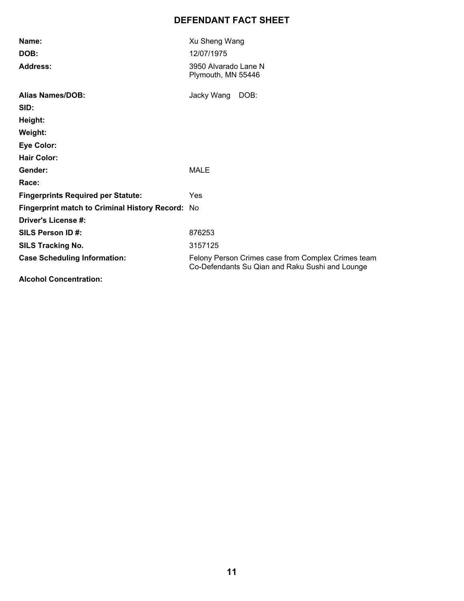## **DEFENDANT FACT SHEET**

| Name:                                            | Xu Sheng Wang                                                                                         |
|--------------------------------------------------|-------------------------------------------------------------------------------------------------------|
| DOB:                                             | 12/07/1975                                                                                            |
| <b>Address:</b>                                  | 3950 Alvarado Lane N<br>Plymouth, MN 55446                                                            |
| <b>Alias Names/DOB:</b>                          | Jacky Wang<br>DOB:                                                                                    |
| SID:                                             |                                                                                                       |
| Height:                                          |                                                                                                       |
| Weight:                                          |                                                                                                       |
| <b>Eye Color:</b>                                |                                                                                                       |
| <b>Hair Color:</b>                               |                                                                                                       |
| Gender:                                          | <b>MALE</b>                                                                                           |
| Race:                                            |                                                                                                       |
| <b>Fingerprints Required per Statute:</b>        | Yes                                                                                                   |
| Fingerprint match to Criminal History Record: No |                                                                                                       |
| Driver's License #:                              |                                                                                                       |
| SILS Person ID#:                                 | 876253                                                                                                |
| <b>SILS Tracking No.</b>                         | 3157125                                                                                               |
| <b>Case Scheduling Information:</b>              | Felony Person Crimes case from Complex Crimes team<br>Co-Defendants Su Qian and Raku Sushi and Lounge |
| .                                                |                                                                                                       |

**Alcohol Concentration:**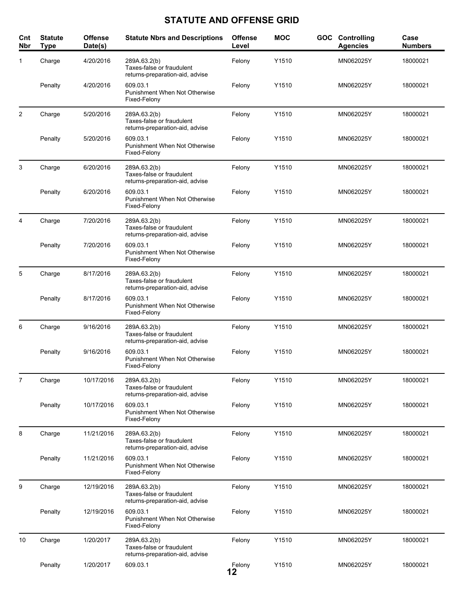# **STATUTE AND OFFENSE GRID**

| Cnt<br><b>Nbr</b> | <b>Statute</b><br><b>Type</b> | <b>Offense</b><br>Date(s) | <b>Statute Nbrs and Descriptions</b>                                         | <b>Offense</b><br>Level | <b>MOC</b> | <b>GOC</b> Controlling<br><b>Agencies</b> | Case<br><b>Numbers</b> |
|-------------------|-------------------------------|---------------------------|------------------------------------------------------------------------------|-------------------------|------------|-------------------------------------------|------------------------|
| 1                 | Charge                        | 4/20/2016                 | 289A.63.2(b)<br>Taxes-false or fraudulent<br>returns-preparation-aid, advise | Felony                  | Y1510      | MN062025Y                                 | 18000021               |
|                   | Penalty                       | 4/20/2016                 | 609.03.1<br>Punishment When Not Otherwise<br>Fixed-Felony                    | Felony                  | Y1510      | MN062025Y                                 | 18000021               |
| 2                 | Charge                        | 5/20/2016                 | 289A.63.2(b)<br>Taxes-false or fraudulent<br>returns-preparation-aid, advise | Felony                  | Y1510      | MN062025Y                                 | 18000021               |
|                   | Penalty                       | 5/20/2016                 | 609.03.1<br><b>Punishment When Not Otherwise</b><br>Fixed-Felony             | Felony                  | Y1510      | MN062025Y                                 | 18000021               |
| 3                 | Charge                        | 6/20/2016                 | 289A.63.2(b)<br>Taxes-false or fraudulent<br>returns-preparation-aid, advise | Felony                  | Y1510      | MN062025Y                                 | 18000021               |
|                   | Penalty                       | 6/20/2016                 | 609.03.1<br>Punishment When Not Otherwise<br>Fixed-Felony                    | Felony                  | Y1510      | MN062025Y                                 | 18000021               |
| 4                 | Charge                        | 7/20/2016                 | 289A.63.2(b)<br>Taxes-false or fraudulent<br>returns-preparation-aid, advise | Felony                  | Y1510      | MN062025Y                                 | 18000021               |
|                   | Penalty                       | 7/20/2016                 | 609.03.1<br>Punishment When Not Otherwise<br>Fixed-Felony                    | Felony                  | Y1510      | MN062025Y                                 | 18000021               |
| 5                 | Charge                        | 8/17/2016                 | 289A.63.2(b)<br>Taxes-false or fraudulent<br>returns-preparation-aid, advise | Felony                  | Y1510      | MN062025Y                                 | 18000021               |
|                   | Penalty                       | 8/17/2016                 | 609.03.1<br>Punishment When Not Otherwise<br>Fixed-Felony                    | Felony                  | Y1510      | MN062025Y                                 | 18000021               |
| 6                 | Charge                        | 9/16/2016                 | 289A.63.2(b)<br>Taxes-false or fraudulent<br>returns-preparation-aid, advise | Felony                  | Y1510      | MN062025Y                                 | 18000021               |
|                   | Penalty                       | 9/16/2016                 | 609.03.1<br>Punishment When Not Otherwise<br>Fixed-Felony                    | Felony                  | Y1510      | MN062025Y                                 | 18000021               |
| 7                 | Charge                        | 10/17/2016                | 289A.63.2(b)<br>Taxes-false or fraudulent<br>returns-preparation-aid, advise | Felony                  | Y1510      | MN062025Y                                 | 18000021               |
|                   | Penalty                       | 10/17/2016                | 609.03.1<br>Punishment When Not Otherwise<br>Fixed-Felony                    | Felony                  | Y1510      | MN062025Y                                 | 18000021               |
| 8                 | Charge                        | 11/21/2016                | 289A.63.2(b)<br>Taxes-false or fraudulent<br>returns-preparation-aid, advise | Felony                  | Y1510      | MN062025Y                                 | 18000021               |
|                   | Penalty                       | 11/21/2016                | 609.03.1<br><b>Punishment When Not Otherwise</b><br>Fixed-Felony             | Felony                  | Y1510      | MN062025Y                                 | 18000021               |
| 9                 | Charge                        | 12/19/2016                | 289A.63.2(b)<br>Taxes-false or fraudulent<br>returns-preparation-aid, advise | Felony                  | Y1510      | MN062025Y                                 | 18000021               |
|                   | Penalty                       | 12/19/2016                | 609.03.1<br>Punishment When Not Otherwise<br>Fixed-Felony                    | Felony                  | Y1510      | MN062025Y                                 | 18000021               |
| 10                | Charge                        | 1/20/2017                 | 289A.63.2(b)<br>Taxes-false or fraudulent<br>returns-preparation-aid, advise | Felony                  | Y1510      | MN062025Y                                 | 18000021               |
|                   | Penalty                       | 1/20/2017                 | 609.03.1                                                                     | Felony<br>12            | Y1510      | MN062025Y                                 | 18000021               |